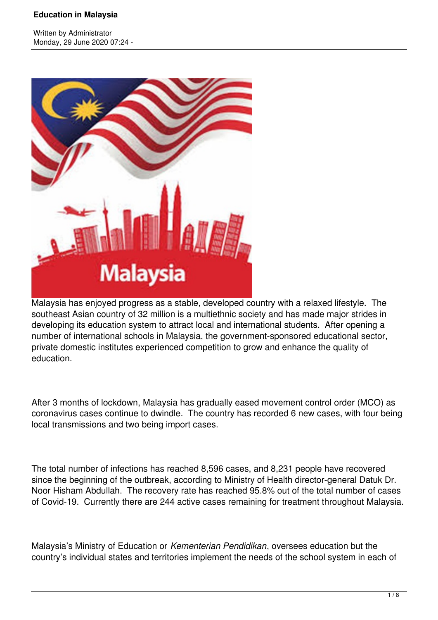Written by Administrator Monday, 29 June 2020 07:24 -



Malaysia has enjoyed progress as a stable, developed country with a relaxed lifestyle. The southeast Asian country of 32 million is a multiethnic society and has made major strides in developing its education system to attract local and international students. After opening a number of international schools in Malaysia, the government-sponsored educational sector, private domestic institutes experienced competition to grow and enhance the quality of education.

After 3 months of lockdown, Malaysia has gradually eased movement control order (MCO) as coronavirus cases continue to dwindle. The country has recorded 6 new cases, with four being local transmissions and two being import cases.

The total number of infections has reached 8,596 cases, and 8,231 people have recovered since the beginning of the outbreak, according to Ministry of Health director-general Datuk Dr. Noor Hisham Abdullah. The recovery rate has reached 95.8% out of the total number of cases of Covid-19. Currently there are 244 active cases remaining for treatment throughout Malaysia.

Malaysia's Ministry of Education or *Kementerian Pendidikan*, oversees education but the country's individual states and territories implement the needs of the school system in each of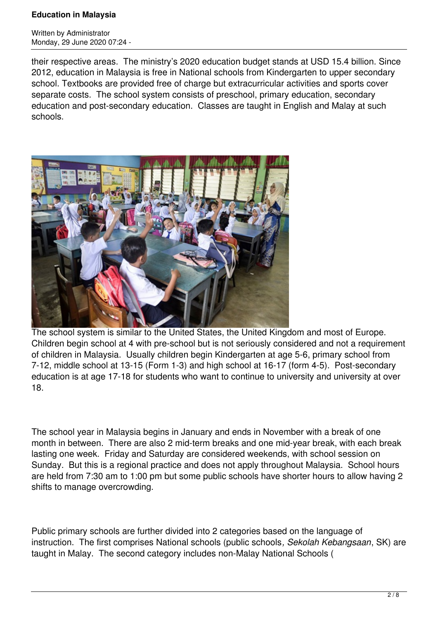Written by Administrator Monday, 29 June 2020 07:24 -

their respective areas. The ministry's 2020 education budget stands at USD 15.4 billion. Since 2012, education in Malaysia is free in National schools from Kindergarten to upper secondary school. Textbooks are provided free of charge but extracurricular activities and sports cover separate costs. The school system consists of preschool, primary education, secondary education and post-secondary education. Classes are taught in English and Malay at such schools.



The school system is similar to the United States, the United Kingdom and most of Europe. Children begin school at 4 with pre-school but is not seriously considered and not a requirement of children in Malaysia. Usually children begin Kindergarten at age 5-6, primary school from 7-12, middle school at 13-15 (Form 1-3) and high school at 16-17 (form 4-5). Post-secondary education is at age 17-18 for students who want to continue to university and university at over 18.

The school year in Malaysia begins in January and ends in November with a break of one month in between. There are also 2 mid-term breaks and one mid-year break, with each break lasting one week. Friday and Saturday are considered weekends, with school session on Sunday. But this is a regional practice and does not apply throughout Malaysia. School hours are held from 7:30 am to 1:00 pm but some public schools have shorter hours to allow having 2 shifts to manage overcrowding.

Public primary schools are further divided into 2 categories based on the language of instruction. The first comprises National schools (public schools*, Sekolah Kebangsaan*, SK) are taught in Malay. The second category includes non-Malay National Schools (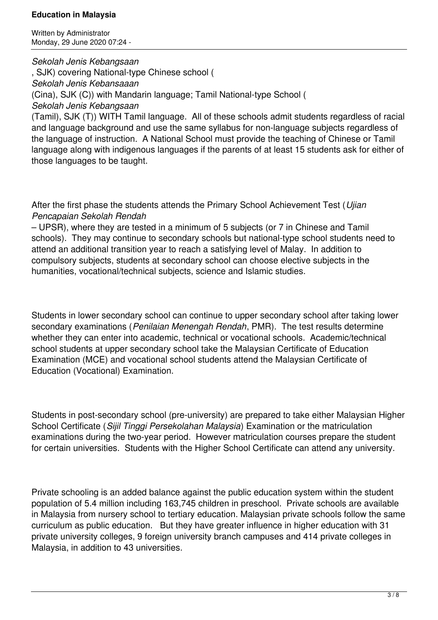Written by Administrator Monday, 29 June 2020 07:24 -

*Sekolah Jenis Kebangsaan*

, SJK) covering National-type Chinese school ( *Sekolah Jenis Kebansaaan* (Cina), SJK (C)) with Mandarin language; Tamil National-type School ( *Sekolah Jenis Kebangsaan*

(Tamil), SJK (T)) WITH Tamil language. All of these schools admit students regardless of racial and language background and use the same syllabus for non-language subjects regardless of the language of instruction. A National School must provide the teaching of Chinese or Tamil language along with indigenous languages if the parents of at least 15 students ask for either of those languages to be taught.

After the first phase the students attends the Primary School Achievement Test (*Ujian Pencapaian Sekolah Rendah*

– UPSR), where they are tested in a minimum of 5 subjects (or 7 in Chinese and Tamil schools). They may continue to secondary schools but national-type school students need to attend an additional transition year to reach a satisfying level of Malay. In addition to compulsory subjects, students at secondary school can choose elective subjects in the humanities, vocational/technical subjects, science and Islamic studies.

Students in lower secondary school can continue to upper secondary school after taking lower secondary examinations (*Penilaian Menengah Rendah*, PMR). The test results determine whether they can enter into academic, technical or vocational schools. Academic/technical school students at upper secondary school take the Malaysian Certificate of Education Examination (MCE) and vocational school students attend the Malaysian Certificate of Education (Vocational) Examination.

Students in post-secondary school (pre-university) are prepared to take either Malaysian Higher School Certificate (*Sijil Tinggi Persekolahan Malaysia*) Examination or the matriculation examinations during the two-year period. However matriculation courses prepare the student for certain universities. Students with the Higher School Certificate can attend any university.

Private schooling is an added balance against the public education system within the student population of 5.4 million including 163,745 children in preschool. Private schools are available in Malaysia from nursery school to tertiary education. Malaysian private schools follow the same curriculum as public education. But they have greater influence in higher education with 31 private university colleges, 9 foreign university branch campuses and 414 private colleges in Malaysia, in addition to 43 universities.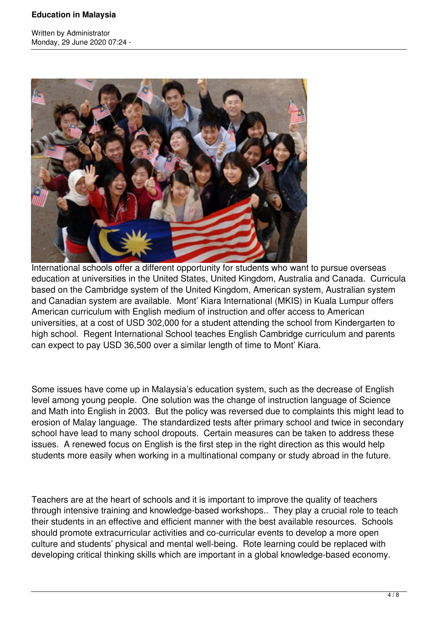Written by Administrator Monday, 29 June 2020 07:24 -



International schools offer a different opportunity for students who want to pursue overseas education at universities in the United States, United Kingdom, Australia and Canada. Curricula based on the Cambridge system of the United Kingdom, American system, Australian system and Canadian system are available. Mont' Kiara International (MKIS) in Kuala Lumpur offers American curriculum with English medium of instruction and offer access to American universities, at a cost of USD 302,000 for a student attending the school from Kindergarten to high school. Regent International School teaches English Cambridge curriculum and parents can expect to pay USD 36,500 over a similar length of time to Mont' Kiara.

Some issues have come up in Malaysia's education system, such as the decrease of English level among young people. One solution was the change of instruction language of Science and Math into English in 2003. But the policy was reversed due to complaints this might lead to erosion of Malay language. The standardized tests after primary school and twice in secondary school have lead to many school dropouts. Certain measures can be taken to address these issues. A renewed focus on English is the first step in the right direction as this would help students more easily when working in a multinational company or study abroad in the future.

Teachers are at the heart of schools and it is important to improve the quality of teachers through intensive training and knowledge-based workshops.. They play a crucial role to teach their students in an effective and efficient manner with the best available resources. Schools should promote extracurricular activities and co-curricular events to develop a more open culture and students' physical and mental well-being. Rote learning could be replaced with developing critical thinking skills which are important in a global knowledge-based economy.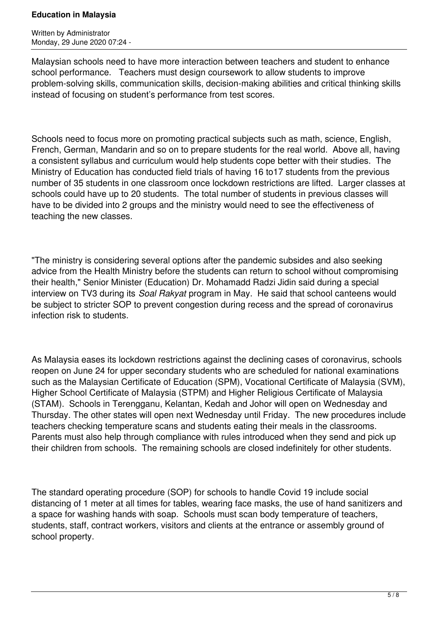Written by Administrator Monday, 29 June 2020 07:24 -

Malaysian schools need to have more interaction between teachers and student to enhance school performance. Teachers must design coursework to allow students to improve problem-solving skills, communication skills, decision-making abilities and critical thinking skills instead of focusing on student's performance from test scores.

Schools need to focus more on promoting practical subjects such as math, science, English, French, German, Mandarin and so on to prepare students for the real world. Above all, having a consistent syllabus and curriculum would help students cope better with their studies. The Ministry of Education has conducted field trials of having 16 to17 students from the previous number of 35 students in one classroom once lockdown restrictions are lifted. Larger classes at schools could have up to 20 students. The total number of students in previous classes will have to be divided into 2 groups and the ministry would need to see the effectiveness of teaching the new classes.

"The ministry is considering several options after the pandemic subsides and also seeking advice from the Health Ministry before the students can return to school without compromising their health," Senior Minister (Education) Dr. Mohamadd Radzi Jidin said during a special interview on TV3 during its *Soal Rakyat* program in May. He said that school canteens would be subject to stricter SOP to prevent congestion during recess and the spread of coronavirus infection risk to students.

As Malaysia eases its lockdown restrictions against the declining cases of coronavirus, schools reopen on June 24 for upper secondary students who are scheduled for national examinations such as the Malaysian Certificate of Education (SPM), Vocational Certificate of Malaysia (SVM), Higher School Certificate of Malaysia (STPM) and Higher Religious Certificate of Malaysia (STAM). Schools in Terengganu, Kelantan, Kedah and Johor will open on Wednesday and Thursday. The other states will open next Wednesday until Friday. The new procedures include teachers checking temperature scans and students eating their meals in the classrooms. Parents must also help through compliance with rules introduced when they send and pick up their children from schools. The remaining schools are closed indefinitely for other students.

The standard operating procedure (SOP) for schools to handle Covid 19 include social distancing of 1 meter at all times for tables, wearing face masks, the use of hand sanitizers and a space for washing hands with soap. Schools must scan body temperature of teachers, students, staff, contract workers, visitors and clients at the entrance or assembly ground of school property.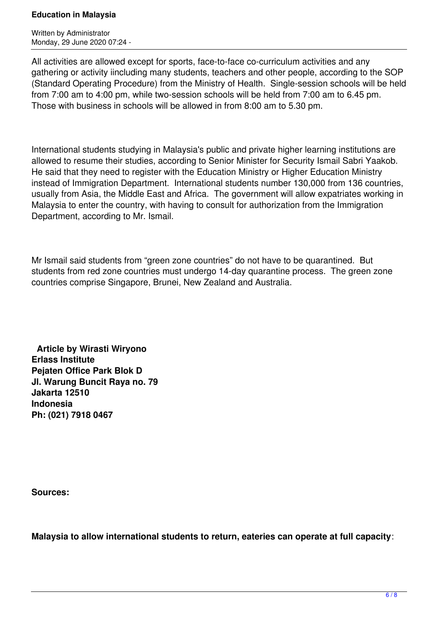Written by Administrator Monday, 29 June 2020 07:24 -

All activities are allowed except for sports, face-to-face co-curriculum activities and any gathering or activity iincluding many students, teachers and other people, according to the SOP (Standard Operating Procedure) from the Ministry of Health. Single-session schools will be held from 7:00 am to 4:00 pm, while two-session schools will be held from 7:00 am to 6.45 pm. Those with business in schools will be allowed in from 8:00 am to 5.30 pm.

International students studying in Malaysia's public and private higher learning institutions are allowed to resume their studies, according to Senior Minister for Security Ismail Sabri Yaakob. He said that they need to register with the Education Ministry or Higher Education Ministry instead of Immigration Department. International students number 130,000 from 136 countries, usually from Asia, the Middle East and Africa. The government will allow expatriates working in Malaysia to enter the country, with having to consult for authorization from the Immigration Department, according to Mr. Ismail.

Mr Ismail said students from "green zone countries" do not have to be quarantined. But students from red zone countries must undergo 14-day quarantine process. The green zone countries comprise Singapore, Brunei, New Zealand and Australia.

 **Article by Wirasti Wiryono Erlass Institute Pejaten Office Park Blok D Jl. Warung Buncit Raya no. 79 Jakarta 12510 Indonesia Ph: (021) 7918 0467**

**Sources:** 

**Malaysia to allow international students to return, eateries can operate at full capacity**: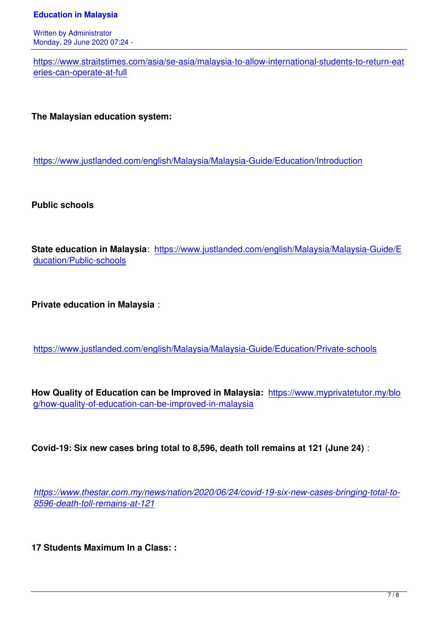Written by Administrator and Administrator and Administrator and Administrator and Administrator and Administrator and Administrator and Administrator and Administrator and Administrator and Administrator and Administrator Monday, 29 June 2020 07:24 -

https://www.straitstimes.com/asia/se-asia/malaysia-to-allow-international-students-to-return-eat eries-can-operate-at-full

**[The Malaysian educatio](https://www.straitstimes.com/asia/se-asia/malaysia-to-allow-international-students-to-return-eateries-can-operate-at-full)n system:** 

https://www.justlanded.com/english/Malaysia/Malaysia-Guide/Education/Introduction

**[Public schools](https://www.justlanded.com/english/Malaysia/Malaysia-Guide/Education/Introduction)**

**State education in Malaysia**: https://www.justlanded.com/english/Malaysia/Malaysia-Guide/E ducation/Public-schools

**[Private education in Ma](https://www.justlanded.com/english/Malaysia/Malaysia-Guide/Education/Public-schools)laysia** :

https://www.justlanded.com/english/Malaysia/Malaysia-Guide/Education/Private-schools

**[How Quality of Education can be Improved in Malaysia:](https://www.justlanded.com/english/Malaysia/Malaysia-Guide/Education/Private-schools)** https://www.myprivatetutor.my/blo g/how-quality-of-education-can-be-improved-in-malaysia

**[Covid-19: Six new cases bring total to 8,596, death to](https://www.myprivatetutor.my/blog/how-quality-of-education-can-be-improved-in-malaysia)ll remains at 121 (June 24)** :

*https://www.thestar.com.my/news/nation/2020/06/24/covid-19-six-new-cases-bringing-total-to-8596-death-toll-remains-at-121*

**[17 Students Maximum In a Cla](https://www.thestar.com.my/news/nation/2020/06/24/covid-19-six-new-cases-bringing-total-to-8596-death-toll-remains-at-121)ss: :**